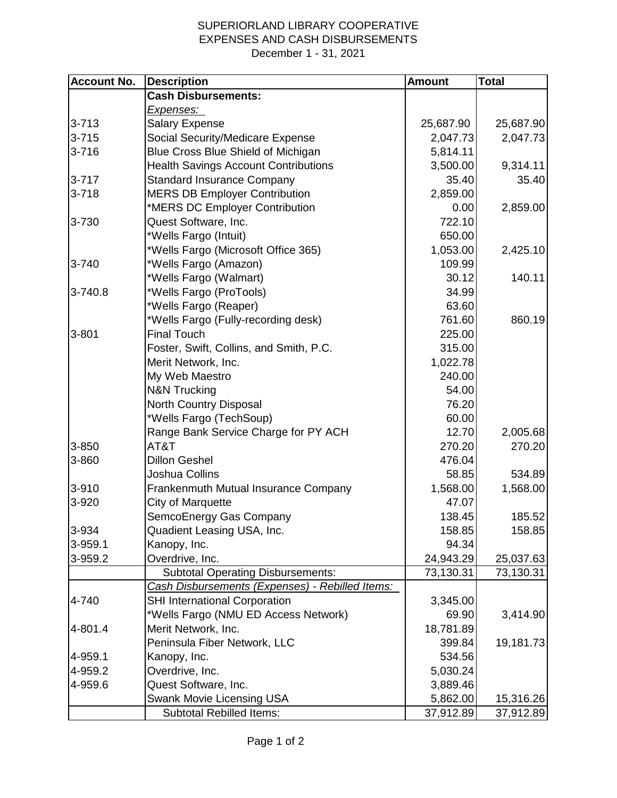## SUPERIORLAND LIBRARY COOPERATIVE EXPENSES AND CASH DISBURSEMENTS December 1 - 31, 2021

| <b>Account No.</b> | <b>Description</b>                              | <b>Amount</b> | <b>Total</b> |
|--------------------|-------------------------------------------------|---------------|--------------|
|                    | <b>Cash Disbursements:</b>                      |               |              |
|                    | Expenses:                                       |               |              |
| $3 - 713$          | <b>Salary Expense</b>                           | 25,687.90     | 25,687.90    |
| $3 - 715$          | Social Security/Medicare Expense                | 2,047.73      | 2,047.73     |
| $3 - 716$          | Blue Cross Blue Shield of Michigan              | 5,814.11      |              |
|                    | <b>Health Savings Account Contributions</b>     | 3,500.00      | 9,314.11     |
| $3 - 717$          | <b>Standard Insurance Company</b>               | 35.40         | 35.40        |
| $3 - 718$          | <b>MERS DB Employer Contribution</b>            | 2,859.00      |              |
|                    | *MERS DC Employer Contribution                  | 0.00          | 2,859.00     |
| 3-730              | Quest Software, Inc.                            | 722.10        |              |
|                    | *Wells Fargo (Intuit)                           | 650.00        |              |
|                    | *Wells Fargo (Microsoft Office 365)             | 1,053.00      | 2,425.10     |
| 3-740              | *Wells Fargo (Amazon)                           | 109.99        |              |
|                    | *Wells Fargo (Walmart)                          | 30.12         | 140.11       |
| 3-740.8            | *Wells Fargo (ProTools)                         | 34.99         |              |
|                    | *Wells Fargo (Reaper)                           | 63.60         |              |
|                    | *Wells Fargo (Fully-recording desk)             | 761.60        | 860.19       |
| 3-801              | <b>Final Touch</b>                              | 225.00        |              |
|                    | Foster, Swift, Collins, and Smith, P.C.         | 315.00        |              |
|                    | Merit Network, Inc.                             | 1,022.78      |              |
|                    | My Web Maestro                                  | 240.00        |              |
|                    | <b>N&amp;N Trucking</b>                         | 54.00         |              |
|                    | North Country Disposal                          | 76.20         |              |
|                    | *Wells Fargo (TechSoup)                         | 60.00         |              |
|                    | Range Bank Service Charge for PY ACH            | 12.70         | 2,005.68     |
| 3-850              | AT&T                                            | 270.20        | 270.20       |
| 3-860              | <b>Dillon Geshel</b>                            | 476.04        |              |
|                    | Joshua Collins                                  | 58.85         | 534.89       |
| 3-910              | Frankenmuth Mutual Insurance Company            | 1,568.00      | 1,568.00     |
| 3-920              | City of Marquette                               | 47.07         |              |
|                    | SemcoEnergy Gas Company                         | 138.45        | 185.52       |
| 3-934              | Quadient Leasing USA, Inc.                      | 158.85        | 158.85       |
| 3-959.1            | Kanopy, Inc.                                    | 94.34         |              |
| 3-959.2            | Overdrive, Inc.                                 | 24,943.29     | 25,037.63    |
|                    | <b>Subtotal Operating Disbursements:</b>        | 73,130.31     | 73,130.31    |
|                    | Cash Disbursements (Expenses) - Rebilled Items: |               |              |
| 4-740              | <b>SHI International Corporation</b>            | 3,345.00      |              |
|                    | *Wells Fargo (NMU ED Access Network)            | 69.90         | 3,414.90     |
| 4-801.4            | Merit Network, Inc.                             | 18,781.89     |              |
|                    | Peninsula Fiber Network, LLC                    | 399.84        | 19,181.73    |
| 4-959.1            | Kanopy, Inc.                                    | 534.56        |              |
| 4-959.2            | Overdrive, Inc.                                 | 5,030.24      |              |
| 4-959.6            | Quest Software, Inc.                            | 3,889.46      |              |
|                    | Swank Movie Licensing USA                       | 5,862.00      | 15,316.26    |
|                    | <b>Subtotal Rebilled Items:</b>                 | 37,912.89     | 37,912.89    |